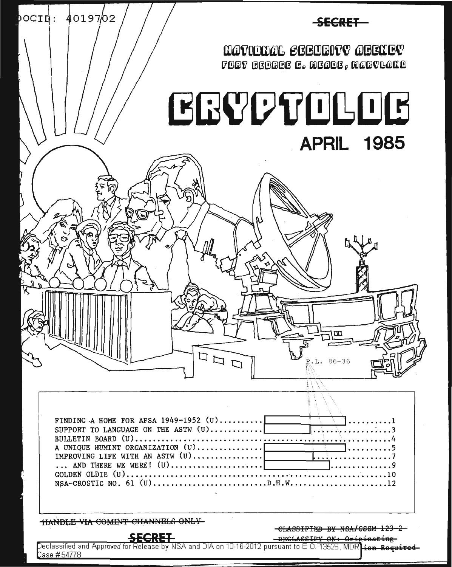

ase #54778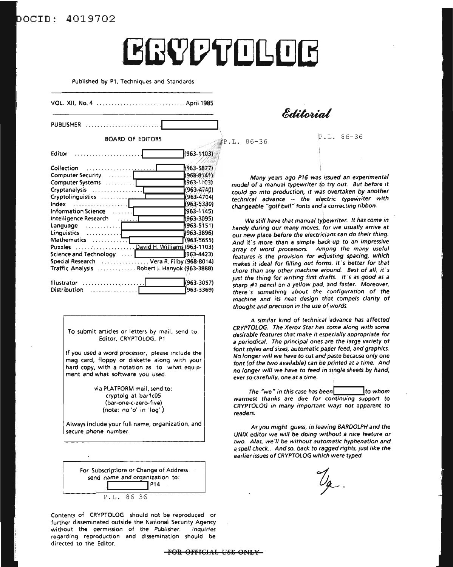### ocID: 4019702

# **ERYPTOLOG**

Published by P1, Techniques and Standards

| <b>PUBLISHER</b><br><b>BOARD OF EDITORS</b><br>(963-1103)<br>Editor<br>(963-5877)<br>. <u>.</u><br>$(968 - 8141)$<br>$(963 - 1103)$<br>$(963 - 4740)$<br>¥963-4704)<br>(963-5330)<br>$(963 - 1145)$<br>Information Science<br>.<br>(963-3095)<br>Intelligence Research [1, 1, 1, 1, 7]<br>(963-5151)<br>(963-3896)<br>Linguistics $\ldots \ldots \ldots \,$<br>(963-5655)<br>Puzzles David H. Williams (963-1103)<br>$(963 - 4423)$<br>Science and Technology [10]<br>Special Research  Vera R. Filby (968-8014)<br>Traffic Analysis Robert J. Hanyok (963-3888)<br>(963-3057)<br>Illustrator<br>. <b>.</b> |            |
|-------------------------------------------------------------------------------------------------------------------------------------------------------------------------------------------------------------------------------------------------------------------------------------------------------------------------------------------------------------------------------------------------------------------------------------------------------------------------------------------------------------------------------------------------------------------------------------------------------------|------------|
|                                                                                                                                                                                                                                                                                                                                                                                                                                                                                                                                                                                                             | (963-3369) |
|                                                                                                                                                                                                                                                                                                                                                                                                                                                                                                                                                                                                             |            |
| Collection<br>Computer Security<br>Computer Systems<br>Cryptanalysis<br>Cryptolinguistics<br>$index$<br>Language                                                                                                                                                                                                                                                                                                                                                                                                                                                                                            |            |
| Distribution                                                                                                                                                                                                                                                                                                                                                                                                                                                                                                                                                                                                |            |

To submit articles or letters by mail, send to: Editor, CRYPTOLOG, Pl

If you used a word processor, please include the mag card, floppy or diskette along with your hard copy, with a notation as to what equipment and what software you used.

> via PlATFORM mail, send to: cryptolg at barlc05 (bar-one-c-zero-five) (note: no *'0'* in 'log')

Always include your full name, organization, and secure phone number.

| For Subscriptions or Change of Address<br>send name and organization to:<br><b>P14</b> |
|----------------------------------------------------------------------------------------|
| $P.T., 86-36$                                                                          |

Contents of CRYPTOLOG should not be reproduced or further disseminated outside the National Security Agency without the permission of the Publisher. Inquiries regarding reproduction and dissemination should be directed to the Editor.

Editorial

 $IP.L. 86-36$ 

P.L. 86-36

Many years ago P16 was issued an experimental model of a manual typewriter to try out. But before it could go into production, it was overtaken by another technical advance -- the electric typewriter with changeable "golf ball" fonts and a correcting ribbon.

We still have that manual typewriter. It has come in handy during our many moves, for we usually arrive at our new place before the electricians can do their thing. And it's more than a simple back-up to an impressive array of word processors. Among the many useful features is the provision for adjusting spacing, which makes it ideal for filling out formS. It's better for that chore than any other machine around. Best of all, it's just the thing for writing first drafts. It's as good as a sharp #1 pencil on a yellow pad, and faster. Moreover, there's something about the configuration of the machine and its neat design that compels clarity of thought and precision in the use of words

A similar kind of technical advance has affected CRYPTOLOG. The Xerox Star has come along with some desirable features that make it especially appropriate for a periodical. The principal ones are the large variety of font styles and sizes, automatic paper feed, and graphics. No longer will we have to cut and paste because only one font (of the two available) can be printed at a time. And no longer will we have to feed in single sheets by hand, ever so carefully, one at a time.

The "we" in this case has been  $\blacksquare$  to whom warmest thanks are due for continuing support to CRYPTOLOG in many important ways not apparent to readers.

As you might guess, in leaving BARDOLPH and the UNIX editor we will *be* doing without a nice feature or two. Alas, we'/I be without automatic hyphenation and a spell check.. And so, back to ragged rights, just like the earlier issues of CRYPTOLOG which were typed.

 $\mathcal{U}_{\alpha}$ .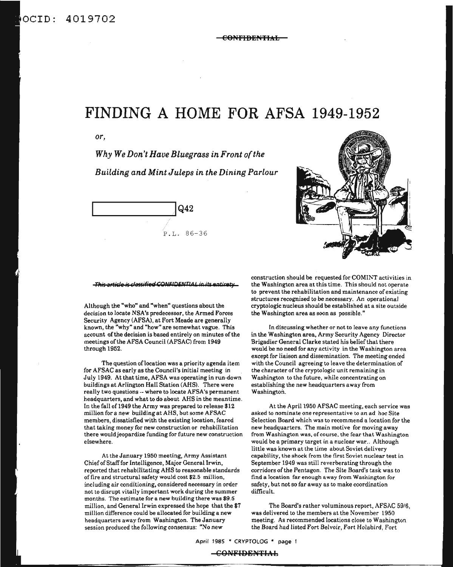### ocID: 4019702

# **FINDING A HOME FOR AFSA 1949-1952**

*or,*

*Why We Don't Have Bluegrass in Front ofthe Building and Mint Juleps in the Dining Parlour*





#### **This article is classified CONFIDENTIAL in its entirety**

Although the "who" and "when" questions about the decision to locate NSA's predecessor, the Armed Forces Security Agency (AFSA), at Fort Meade are generally known, the "why" and "how" are somewhat vague. This account of the decision is based entirely on minutes of the meetings of the AFSA Council (AFSAC) from 1949 through 1952.

The question of location was a priority agenda item for AFSAC as early as the Council's initial meeting in July 1949. At that time, AFSA was operating in run-down buildings at Arlington Hall Station (AHS). There were really two questions -- where to locate AFSA's permanent headquarters, and what to do about AHS in the meantime. In the fall of 1949 the Army was prepared to release \$12 million for a *new* building at AHS, but some AFSAC members, dissatisfied with the existing location, feared that taking money for new construction or rehabilitation there would jeopardize funding for future new construction elsewhere.

At the January 1950 meeting, Army Assistant Chiefof Stafffor Intelligence, Major General Irwin, reported that rehabilitating AHS to reasonable standards of fire and structural safety would cost \$2.5 million, including air conditioning, considered necessary in order not to disrupt vitally important work during the summer months. The estimate for a new building there was \$9.5 million, and General Irwin expressed the hope that the \$7 million difference could be allocated for building a new headquarters away from Washington. The January session produced the following consensus: "No new

construction should be requested for COMINT activities in the Washington area at this time. This should not operate to prevent the rehabilitation and maintenance of existing structures recognized to be necessary. An operational cryptologic nucleus should be established at a site outside the Washington area as soon as possible."

In discussing whether or not to leave any functions in the Washington area, Army Security Agency Director Brigadier General Clarke stated his belief that there would be no need for any activity in the Washington area except for liaison and dissemination. The meeting ended with the Council agreeing to leave the determination of the character of the cryptologic unit remaining in Washington to the future, while concentrating on establishing the new headquarters away from Washington.

At the April 1950 AFSAC meeting, each service was asked to nominate one representative to an ad hoc Site Selection Board which was to recommend a location for the new headquarters. The main motive for moving away from Washington was, of course. the fear that Washington would be a primary target in a nuclear war.. Although little was known at the time about Soviet delivery capability, the shock from the first Soviet nuclear test in September 1949 was still reverberating through the corridors of the Pentagon. The Site Board's task was to find a location far enough away from Washington for safety, but not so far away as to make coordination difficult.

The Board's rather voluminous report, AFSAC *59/6,* was delivered to the members at the November 1950 meeting. As recommended locations close to Washington the Board had listed Fort Belvoir, Fort Holabird, Fort

April 1985 \* CRYPTOLOG \* page 1

CONFI9ENTIAL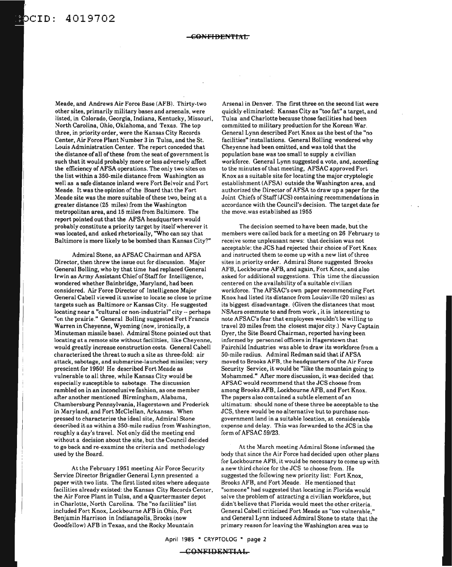## CID: 4019702

#### CONFI<del>BENTIAT</del>

Meade, and Andrews Air Force Base (AFB). Thirty-two other sites, primarily military bases and arsenals, were listed, in Colorado, Georgia, Indiana, Kentucky, Missouri, North Carolina, Ohio, Oklahoma, and Texas. The top three, in priority order, were the Kansas City Records Center, Air Force Plant Number 3 in Tulsa, and the St. Louis Administration Center. The report conceded that the distance of all of these from the seat of government is such that it would probably more or less adversely affect the efficiency of AFSA operations. The only two sites on the list within a 350-mile distance from Washington as well as a safe distance inland were Fort Belvoir and Fort Meade. It was the opinion ofthe Board that the Fort Meade site was the more suitable of these two, being at a greater distance (25 miles) from the Washington metropolitan area, and 15 miles from Baltimore. The report pointed out that the AFSA headquarters would probably constitute a priority target by itseif wherever it was located, and asked rhetorically, "Who can say that Baltimore is more likely to be bombed than Kansas City?"

Admiral Stone, as AFSAC Chairman and AFSA Director, then threw the issue out for discussion. Major General Bolling, who by that time had replaced General Irwin as Army Assistant Chief of Staff for Intelligence, wondered whether Bainbridge, Maryland, had been considered. Air Force Director of Intelligence Major General Cabell viewed it unwise to locate so close to prime targets such as Baltimore or Kansas City. He suggested locating near a "cultural or non-industrial" city -- perhaps "on the prairie." General Bolling suggested Fort Francis Warren in Cheyenne, Wyoming (now, ironically, a Minuteman missile base). Admiral Stone pointed out that locating at a remote site without facilities, like Cheyenne, would greatly increase construction costs. General Cabell characterized the threat to such a site as three-fold: air attack, sabotage, and submarine-launched missiles; very prescient for 1950! He described Fort Meade as vulnerable to all three, while Kansas City would be especially susceptible to sabotage. The discussion rambled on in an inconclusive fashion, as one member after another mentioned Birmingham, Alabama, Chambersburg Pennsylvania, Hagerstown and Frederick in Maryland, and Fort McClellan, Arkansas. When pressed to characterize the ideal site, Admiral Stone described it as within a 350-mile radius from Washington, roughly a day's travel. Not only did the meeting end without a decision about the site, but the Council decided to go back and re-examine the criteria and methodology used by the Board.

At the February 1951 meeting Air Force Security Service Director Brigadier General Lynn presented a paper with two lists. The first listed sites where adequate facilities already existed: the Kansas City Records Center, the Air Force Plant in Tulsa, and a Quartermaster depot in Charlotte, North Carolina. The "no facilities" list included Fort Knox, Lockbourne AFB in Ohio, Fort Benjamin Harrison in Indianapolis, Brooks (now Goodfellow) AFB in Texas, and the Rocky Mountain

Arsenal in Denver. The first three on the second list were quickly eliminated: Kansas City as "too fat" a target, and Tulsa and Charlotte because those facilities had been committed to military production for the Korean War. General Lynn described Fort Knox as the best of the "no facilities" installations. General Bolling wondered why Cheyenne had been omitted, and was told that the population base was too small to supply a civilian workforce. General Lynn suggested a vote, and, according to the minutes of that meeting, AFSAC approved Fort Knox as a suitable site for locating the major cryptologic establishment (AFSA) outside the Washington area, and authorized the Director of AFSA to draw up a paper for the Joint Chiefs of Staff(JCS) containing recommendations in accordance with the Council's decision. The target date for the move.was established as 1955

The decision seemed to have been made, but the members were called back for a meeting on 26 February to receive some unpleasant news: that decision was not acceptable; the JCS had rejected their choice of Fort Knox and instructed them to come up with a new list of three sites in priority order. Admiral Stone suggested Brooks AFB, Lockbourne AFB, and again, Fort Knox, and also asked for additional suggestions. This time the discussion centered on the availability of a suitable civilian workforce. The AFSAC's own paper recommending Fort Knox had listed its distance from Louisville (20 miles) as its biggest disadvantage. (Given the distances that most NSAers commute to and from work, it is interesting to note AFSAC's fear that employees wouldn't be willing to travel 20 miles from the closest major city.) Navy Captain Dyer, the Site Board Chairman, reported having been informed by personnel officers in Hagerstown that Fairchild Industries was able to draw its workforce from a 50-mile radius. Admiral Redman said that if AFSA moved to Brooks AFB, the headquarters of the Air Force Security Service, it would be "like the mountain going to Mohammed." After more discussion, it was decided that AFSAC would recommend that the JCS choose from among Brooks AFB, Lockbourne AFB, and Fort Knox. The papers also contained a subtle element of an ultimatum: should none of these three be acceptable to the JCS, there would be no alternative but to purchase nongovernment land in a suitable location, at considerable expense and delay. This was forwarded to the JCS in the form of AFSAC 59/23.

At the March meeting Admiral Stone informed the body that since the Air Force had decided upon other plans for Lockbourne AFB, it would be necessary to come up with a new third choice for the JCS to choose from. He suggested the following new priority list: Fort Knox, Brooks AFB, and Fort Meade. He mentioned that "someone" had suggested that locating in Florida would solve the problem of attracting a civilian workforce, but didn't believe that Florida would meet the other criteria. General Cabell criticized Fort Meade as "too vulnerable," and General Lynn induced Admiral Stone to state that the primary reason for leaving the Washington area was to

April 1985 \* CRYPTOLOG \* page 2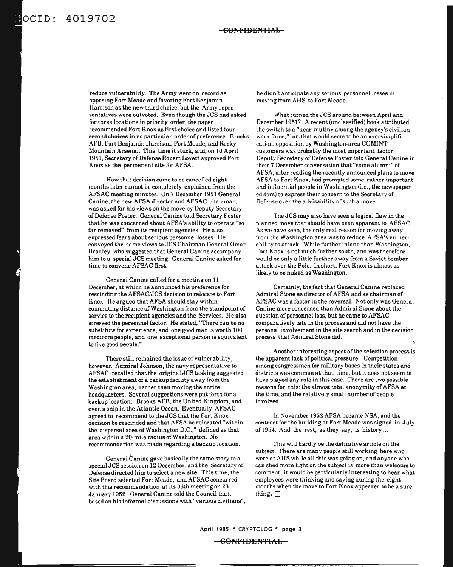ocID: 4019702

reduce vulnerability. The Army went on record as opposing Fort Meade and favoring Fort Benjamin Harrison as the new third choice, but the Army representatives were outvoted. Even though the JCS had asked for three locations in priority order, the paper recommended Fort Knox as first choice and listed four second choices in no particular order of preference: Brooks AFB, Fort Benjamin Harrison, Fort Meade, and Rocky Mountain Arsenal. This time it stuck, and, on 10 April 1951. Secretary of Defense Robert Lovett approved Fort Knox as the permanent site for AFSA.

How that decision came to be cancelled eight months later cannot be completely explained from the AFSAC meeting minutes. On 7 December 1951 General Canine, the new AFSA director and AFSAC chairman, was asked for his views on the move by Deputy Secretary of Defense Foster. General Canine told Secretary Foster that he was concerned about AFSA's ability to operate "so far removed" from its recipient agencies. He also expressed fears about serious personnel losses. He conveyed the same views toJCS Chairman General Omar Bradley, who suggested that General Canine accompany him to a special JCS meeting. General Canine asked for time to convene AFSAC first.

General Canine called for a meeting on 11 December, at which he announced his preference for rescinding the AFSAC/JCS decision to relocate to Fort Knox. He argued that AFSA should stay within commuting distance ofWashington from the standpoint of service to the recipient agencies and the Services. He also stressed the personnel factor. He stated, "There can be no substitute for experience, and one good man is worth 100 mediocre people, and one exceptional person is equivalent to five good people."

There still remained the issue of vulnerability, however. Admiral Johnson, the navy representative to AFSAC. recalled that the original JCS tasking suggested the establishment of a backup facility away from the Washington area, rather than moving the entire headquarters. Several suggestions were put forth for a backup location: Brooks AFB, the United Kingdom, and even a ship in the Atlantic Ocean. Eventually AFSAC agreed to recommend to the JCS that the Fort Knox decision be rescinded and that AFSA be relocated "within the dispersal area of Washington D.C.," defined as that area within a 20-mile radius of Washington. No recommendation was made regarding a backup location.

General Canine gave basically the same story to a special JCS session on 12 December, and the Secretary of Defense directed him to select a new site. This time, the Site Board selected Fort Meade, and AFSAC concurred with this recommendation at its 36th meeting on 23 January 1952. General Canine told the Council that. based on his informal discussions with "various civilians".

I

he didn't anticipate any serious personnel losses in moving from AHS to Fort Meade.

What turned the JCS around between April and December 1951? A recent (unclassified) book attributed the switch to a "near-mutiny among the agency's civilian work force," but that would seem to be an oversimplification; opposition by Washington-area COMINT customers was probably the most important factor. Deputy Secretary of Defense Foster told General Canine in their 7 December conversation that "some alumni" of AFSA. after reading the recently announced plans to move AFSA to Fort Knox. had prompted some rather important and influential people in Washington (i.e., the newspaper editors) to express their concern to the Secretary of Defense over the advisability of such a move.

The JCS may also have seen a logical flaw in the planned move that should have been apparent to AFSAC As we have seen, the only real reason for moving away from the Washington area was to reduce AFSA's vulnerability to attack. While further inland than Washington. Fort Knox is not much further south, and was therefore would be only a little further away from a Soviet bomber attack over the Pole. In short, Fort Knox is almost as likely to be nuked as Washington.

Certainly, the fact that General Canine replaced Admiral Stone as director of AFSA and as chairman of AFSAC was a factor in the reversal. Not only was General Canine more concerned than Admiral Stone about the question of personnel loss, but he came to AFSAC comparatively late in the process and did not have the personal involvement in the site search and in the decision process that Admiral Stone did.

Another interesting aspect of the selection process is the apparent lack of political pressure. Competition among congressmen for military bases in their states and districts was common at that time, but it does not seem to have played any role in this case. There are two possible reasons for this: the almost total anonymity of AFSA at the time, and the relatively small number of people involved.

In November 1952 AFSA became NSA, and the contract for the building at Fort Meade was signed in July of 1954. And the rest, as they say. is history ...

This will hardly be the definitive article on the subject. There are many people still working here who were at AHS while all this was going on, and anyone who can shed more light on the subject is more than welcome to comment;.it would be particularly interesting to hear what employees were thinking and saying during the eight months when the move to Fort Knox appeared to be a sure thing.  $\square$ 

**COl>lFIDSH'fIAL**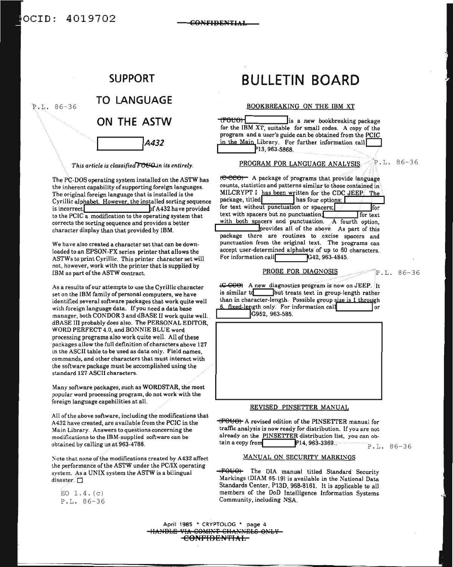

This article is classified FOUQ in its entirely.

The PC-DOS operating system installed on the ASTW has the inherent capability of supporting foreign languages. The original foreign language that is installed is the Cyrillic alphabet. However, the installed sorting sequence is incorrect hf A432 have provided to the PCIC a modification to the operating system that corrects the sorting sequence and provides a better character display than that provided by IBM.

We have also created a character set that can be downloaded to an EPSON-FX series printer that allows the ASTWs to print Cyrillic. This printer character set will not, however, work with the printer that is supplied by IBM as part of the ASTW contract.

As a results of our attempts to use the Cyrillic character set on the IBM family of personal computers, we have identified several software packages that work quite well with foreign language data. If you need a data base manager, both CONDOR 3 and dBASE II work quite well. dBASE III probably does also. The PERSONAL EDITOR, WORD PERFECT 4.0, and BONNIE BLUE word processing programs also work quite well. All of these packages allow the full definition of characters above 127 in the ASCII table to be used as data only. Field names, commands, and other characters that must interact with the software package must be accomplished using the standard 127 ASCII characters.

Many software packages, such as WORDSTAR, the most popular word processing program, do not work with the foreign language capabilities at all.

All of the above software, including the modifications that A432 have created, are available from the PCIC in the Main Library. Answers to questions concerning the modifications to the IBM-supplied software can be obtained by calling us at 963-4788.

Note that none of the modifications created by A432 affect the performance of the ASTW under the PC/IX operating system. As a UNIX system the ASTW is a bilingual disaster.  $\square$ 

EO  $1.4. (c)$ P.L. 86-36

# **BULLETIN BOARD**

CONFIDENTIAL

#### BOOKBREAKING ON THE IBM XT

<del>kouor (r</del> is a new bookbreaking package for the IBM XT, suitable for small codes. A copy of the program and a user's guide can be obtained from the PCIC in the Main Library. For further information call 13, 963-5868.

> <sup>і</sup>Р.І. 86-36 PROGRAM FOR LANGUAGE ANALYSIS.

(C-CCO) A package of programs that provide language counts, statistics and patterns similar to those contained in MILCRYPT I has been written for the CDC JEEP The package, titled has four options:  $\Box$ for text without punctuation or spacers, for text with spacers but no punctuation. $\Gamma$ I for text with both spacers and punctuation. A fourth option, provides all of the above. As part of this package there are routines to excise spacers and punctuation from the original text. The programs can accept user-determined alphabets of up to 60 characters. For information call G42, 963-4845.

PROBE FOR DIAGNOSIS

 $P.L. 86-36$ 

(C-COO) A new diagnostics program is now on JEEP. It is similar to but treats text in group-length rather than in character-length. Possible group size is 1 through 6. fixed-length only. For information call l or G952, 963-585.



(FOUO) A revised edition of the PINSETTER manual for traffic analysis is now ready for distribution. If you are not already on the PINSETTER distribution list, you can obtain a copy from P14, 963-3369..

P.L. 86-36

#### MANUAL ON SECURITY MARKINGS

(FOUC) The DIA manual titled Standard Security Markings (DIAM 65-19) is available in the National Data Standards Center, P13D, 968-8161. It is applicable to all members of the DoD Intelligence Information Systems Community, including NSA.

April 1985 \* CRYPTOLOG \* page 4 **COMINT CHANNELS ONLY** <del>-confidential -</del>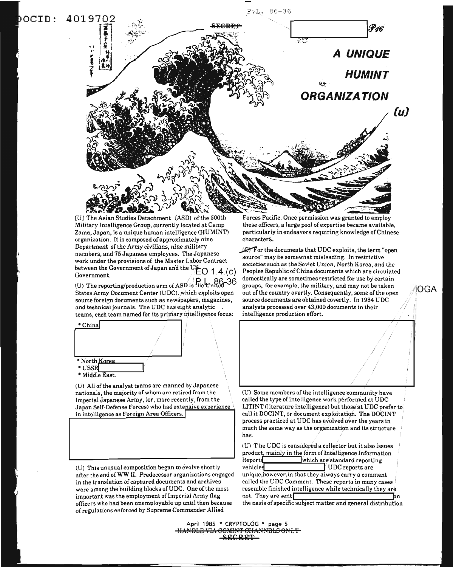

[U] The Asian Studies Detachment (ASD) of the 500th Military Intelligence Group, currently located at Camp Zama, Japan, is a unique human intelligence (HUMINT) organization. It is composed of approximately nine Department of the Army civilians, nine military members, and 75 Japanese employees. The Japanese work under the provisions of the Master Labor Contract between the Government of Japan and the US-O  $1.4(c)$ Government.

(U) The reporting/production arm of ASD is the United States Army Document Center (UDC), which exploits open source foreign documents such as newspapers, magazines, and technical journals. The UDC has eight analytic teams, each team named for its primary intelligence focus:



(U) All of the analyst teams are manned by Japanese nationals, the majority of whom are retired from the Imperial Japanese Army, (or, more recently, from the Japan Self-Defense Forces) who had extensive experience in intelligence as Foreign Area Officers.

(U) This unusual composition began to evolve shortly after the end of WW II. Predecessor organizations engaged in the translation of captured documents and archives were among the building blocks of UDC. One of the most important was the employment of Imperial Army flag officers who had been unemployable up until then because of regulations enforced by Supreme Commander Allied

Forces Pacific. Once permission was granted to employ these officers, a large pool of expertise became available, particularly in endeavors requiring knowledge of Chinese characters.

C For the documents that UDC exploits, the term "open source" may be somewhat misleading. In restrictive societies such as the Soviet Union, North Korea, and the Peoples Republic of China documents which are circulated domestically are sometimes restricted for use by certain groups, for example, the military, and may not be taken out of the country overtly. Consequently, some of the open source documents are obtained covertly. In 1984 UDC analysts processed over 43,000 documents in their intelligence production effort.

ioga

(U) Some members of the intelligence community have called the type of intelligence work performed at UDC LITINT (literature intelligence) but those at UDC prefer to call it DOCINT, or document exploitation. The DOCINT process practiced at UDC has evolved over the years in much the same way as the organization and its structure has.

(U) The UDC is considered a collector but it also issues product, mainly in the form of Intelligence Information Reports which are standard reporting vehicles UDC reports are unique, however, in that they always carry a comment cailed the UDC Comment. These reports in many cases resemble finished intelligence while technically they are not. They are sent

the basis of specific subject matter and general distribution

April 1985 \* CRYPTOLOG \* page 5 YDLE VI <del>NBLS ONLY</del> ECRET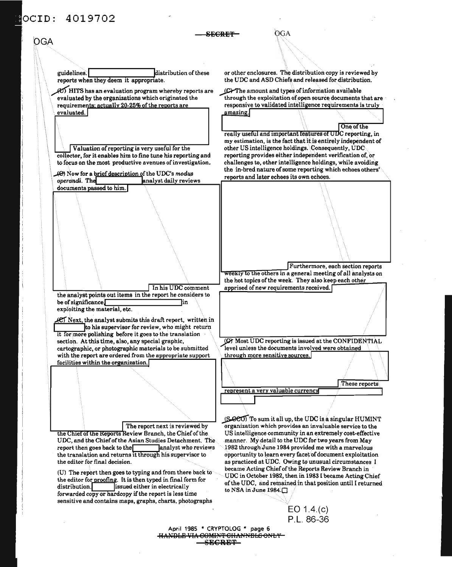#### $OCTD:$ 4019702

 $OGA$ **SECRET** OGA or other enclosures. The distribution copy is reviewed by guidelines. distribution of these reports when they deem it appropriate. the UDC and ASD Chiefs and released for distribution. (D) HITS has an evaluation program whereby reports are (C) The amount and types of information available evaluated by the organizations which originated the through the exploitation of open source documents that are requirements: actually 20-25% of the reports are responsive to validated intelligence requirements is truly evaluated. amazing. One of the really useful and important features of UDC reporting, in my estimation, is the fact that it is entirely independent of Valuation of reporting is very useful for the other US intelligence holdings. Consequently, UDC reporting provides either independent verification of, or collector, for it enables him to fine tune his reporting and to focus on the most productive avenues of investigation. challenges to, other intelligence holdings, while avoiding the in-bred nature of some reporting which echoes others' (e) Now for a brief description of the UDC's modus reports and later echoes its own echoes. analyst daily reviews operandi. The documents passed to him. Furthermore, each section reports weekly to the others in a general meeting of all analysts on the hot topics of the week. They also keep each other In his UDC comment apprised of new requirements received. the analyst points out items in the report he considers to be of significance in exploiting the material, etc. C Next, the analyst submits this draft report, written in to his supervisor for review, who might return it for more polishing before it goes to the translation section. At this time, also, any special graphic, (C) Most UDC reporting is issued at the CONFIDENTIAL level unless the documents involved were obtained cartographic, or photographic materials to be submitted with the report are ordered from the appropriate support through more sensitive sources. facilities within the organization. These reports represent a very valuable currency (S-900) To sum it all up, the UDC is a singular HUMINT organization which provides an invaluable service to the The report next is reviewed by US intelligence community in an extremely cost-effective the Chief of the Reports Review Branch, the Chief of the UDC, and the Chief of the Asian Studies Detachment. The manner. My detail to the UDC for two years from May report then goes back to the  $\Box$ analyst who reviews 1982 through June 1984 provided me with a marvelous opportunity to learn every facet of document exploitation the translation and returns it through his supervisor to the editor for final decision. as practiced at UDC. Owing to unusual circumstances I

(U) The report then goes to typing and from there back to the editor for proofing. It is then typed in final form for distribution. issued either in electrically forwarded copy or hardcopy if the report is less time sensitive and contains maps, graphs, charts, photographs

UDC in October 1982, then in 1983 I became Acting Chief of the UDC, and remained in that position until I returned to NSA in June 1984.

became Acting Chief of the Reports Review Branch in

 $EO 1.4(c)$ P.L. 86-36

April 1985 \* CRYPTOLOG \* page 6 HANDLE VIA COMINT CHANNELS ONLY **SECRET**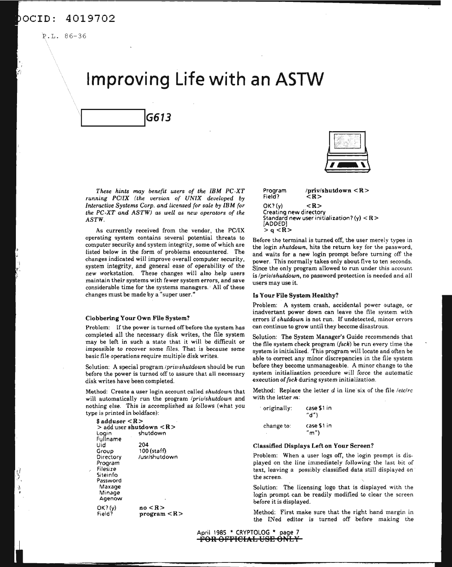P.L. 86-36

# **Improving Life with an ASTW**

*These hints may benefit users of the IBM PC-XT running PC/IX (the version of UNIX developed by Interactive Systems Corp. and licensed for sale by IBM (or the PC-XT and ASTW) as well as new operators of the ASTW.*

As currently received from the vendor, the PC/IX operating system contains several potential threats to computer security and system integrity, some of which are listed below in the form of problems encountered. The changes indicated will improve overall computer security, system integrity, and general ease of operability of the new workstation. These changes will also help users maintain their systems with fewer system errors, and save considerable time for the systems managers. All of these changes must be made by a "super user."

#### Clobbering Your Own File System?

\_\_\_IG613

Problem: If the power is turned off before the system has completed all the necessary disk writes, the file system may be left in such a state that it will be difficult or impossible to recover some files. That is because some basic file operations require multiple disk writes.

Solution: A special program /priv/shutdown should be run before the power is turned off to assure that all necessary disk writes have been completed.

Method: Create a user login account called *shutdown* that will automatically run the program */priv/shutdown* and nothing else. This is accomplished as follows (what you type is printed in boldface):

 $no < R$  $program < R$ 204 100 (staff) /usr/shutdown OK?(y) Field? \$ adduser < R > <sup>&</sup>gt; add user shutdown < R > shutdown Fullname Uid Group **Directory** Program Filesize Siteinfo Password Maxage Minage Agenow



Program /priv/shutdown < R>  $Field?$  $OK?$ (y)  $<\mathbb{R}>$ Creating new directory Standard new user initialization? (y)  $<$ R  $>$ [ADDED)  $> q < R$ 

Before the terminal is turned off, the user merely types in the login *shutdown.* hits the return key for the password, and waits for a new login prompt before turning off the power. This normally takes only about five to ten seconds. Since the only program allowed to run under this account is *(priv(shutdown,* no password protection is needed and all users may use it.

#### Is Your File System Healthy?

Problem: A system crash, accidental power outage, or inadvertant power down can leave the file system with errors if*shutdown* is not run. If undetected, minor errors can continue to grow until they become disastrous.

Solution: The System Manager's Guide recommends that the file system check program *({sch)* be run every time the system is initialized. This program will locate and often be able to correct any minor discrepancies in the file system before they become unmanageable. A minor change to the system initialization procedure will force the automatic execution of*fsch* during system initialization.

Method: Replace the letter d in line six of the file */etc/rc* with the letter m:

| originally: | case \$1 in<br>"d" $)$ |
|-------------|------------------------|
| change to:  | case \$1 in            |
| ×           | "m")                   |

#### Classified Displays Left on Your Screen?

Problem: When a user logs off, the login prompt is displayed on the line immediately following the last bit of text, leaving a possibly classified data still displayed on the screen.

Solution: The licensing logo that is displayed with the login prompt can be readily modified to clear the screen before it is displayed.

Method: First make sure that the right hand margin in the INed editor is turned off before making the

April 1985 \* CRYPTOLOG \* page 7 FOR OFFICIAL USE ONLY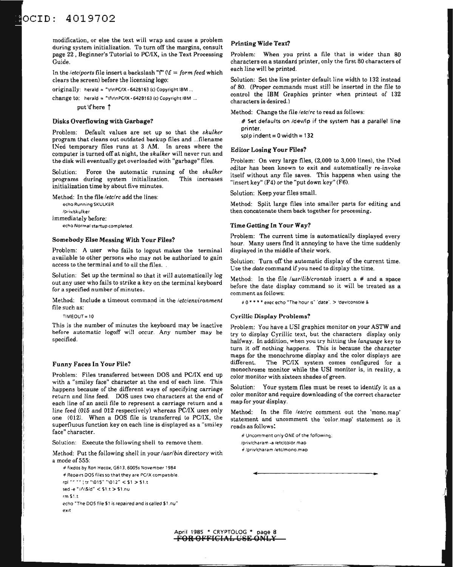modification, or else the text will wrap and cause a problem during system initialization. To turn off the margins, consult page 22 , Beginner's Tutorial to PC/IX, in the Text Processing Guide.

In the /etc/ports file insert a backslash "f" ( $\mathbf{f} =$  *form feed* which clears the screen) before the licensing logo:

originally: herald  $\approx$  "\r\nPC/IX - 6428163 (c) Copyright IBM ...

change to: herald = "\f\r\nPC/IX - 6428163 (c) Copyright IBM ...

put \f here 1

#### Disks Overflowing with Garbage?

Problem: Default values are set up so that the *skulker* program that cleans out outdated backup files and ...filename INed temporary files runs at 3 AM. In areas where the computer is turned off at night, the *skulker* will never run and the disk will eventually get overloaded with "garbage" files.

Solution: Force the automatic running of the *skulker* programs during system initialization. This increases initialization time by about five minutes.

Method: In the file *fete/rc* add the lines: echo Running SKULKER Ipriv/skulker immediately before: echo Normal startup completed.

#### Somebody Else Messing With Your Files?

Problem: A user who fails to logout makes the terminal available to other persons who may not be authorized to gain access to the terminal and to all the files. .

Solution: Set up the terminal so that it will automatically log out any user who fails to strike a key on the terminal keyboard for a specified number of minutes.

Method: Include a timeout command in the *fete/environment* file such as:

 $TIMEOUT = 10$ 

This is the number of minutes the keyboard may be inactive before automatic logoff will occur. Any number may be specified.

#### Funny Faces In Your File?

Problem: Files transferred between DOS and PC/IX end up with a "smiley face" character at the end of each line. This happens because of the different ways of specifying carriage return and *line* feed. DOS uses two characters at the end of each line of an ascii file to represent a carriage return and a line feed (015 and 012 respectively) whereas PC/IX uses only one  $(012)$ . When a DOS file is transferred to PC/IX, the superfluous function key on each line is displayed as a "smiley face" character.

Solution: Execute the following shell to remove them.

Method: Put the following shell in your *lusrlbin* directory with a mode of 555:

```
#' fixdos by Ron Hecox, G613. 6005s November 1984
# Repairs DOS files so that they are PC/IX compatible.
rpl "" "" ; tr "\015" "\012" < $1 > $1.t
sed -e "/\land\backslash\$\primed" < $1.t > $1.nu
rm $1.t
echo "The DOS file $1 is repaired and is called $1.nu"
eXIt
```
#### Printing Wide Text?

Problem: When you print a file that is wider than 80 characters on a standard printer, only the first 80 characters of each line will be printed.

Solution: Set the line printer default line width to 132 instead of 80. (Proper commands must still be inserted in the file to control the IBM Graphics printer when printout of 132 characters is desired.)

Method: Change the file *letclrc* to read as follows:

# Set defaults on /dev/lp if the system has a parallel line printer.

splp indent =  $0$  width = 132

#### Editor Losing Your Files?

Problem: On very large files, (2,000 to 3,000 lines), the INed editor has been known to exit and automatically re-invoke itself without any file saves. This happens when using the "insert key"  $(F4)$  or the "put down key"  $(F6)$ .

Solution: Keep your files small.

Method: Split large files into smaller parts for editing and then concatenate them back together for processing.

#### Time Getting In Your Way?

Problem: The current time is automatically displayed every hour. Many users find it annoying to have the time suddenly displayed in the middle of their work.

Solution: Turn off the automatic display of the current time. Use the *date* command if you need to display the time.

Method: In the file *fusr/lib/crontab* insert a # and a space before the date display command so it will be treated as a comment as follows:

#0\*\*\*\* exec echo "The hour is" 'date'. > 'dev/console &

#### Cyrillic Display Problems?

Problem: You have a USI graphics monitor on your ASTW and try to display Cyrillic text, but the characters display only halfway. In addition, when you try hitting the *language* key to turn it off nothing happens. This is because the character maps for the monochrome display and the color displays are different. The PC/IX system comes configured for a monochrome monitor while the USI monitor is, in reality, a color monitor with sixteen shades of green.

Solution: Your system files must be reset to identify it as a color monitor and require downloading of the correct character map for your display.

Method: In the file *letclrc* comment out the 'mono.map' statement and uncomment the 'color.map' statement so it reads as follows:

0( ..

# Uncomment only ONE of the following: /priv/charam -a /etc/color.map "/priv/charam letdmono.map

April <sup>1985</sup> • CRYPTOLOG \* page 8 FOR OFFICIAL USE ONL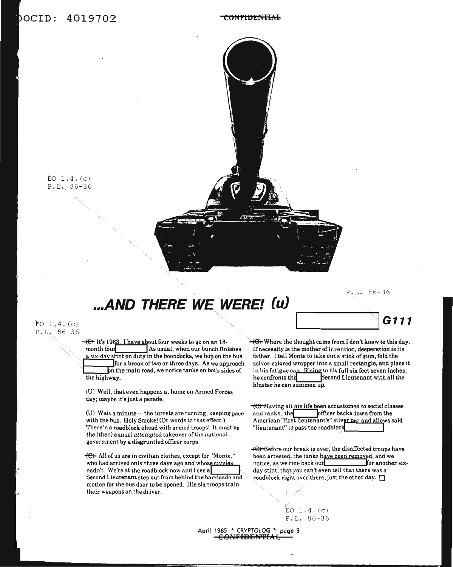### OCID: 4019702

#### **Ct)NfIBEtHlfd,**



# **...AND THERE WE WERE! (u)**

P.L. 86-36

 $EQ - 1.4. (c)$ P. L. 86-36

> $\overline{+}$ . It's 1963. I have about four weeks to go on an 18month tour **I**As usual, when our bunch finishes a six-day stint on duty in the boondocks, we hop on the bus for a break of two or three days. As we approach n the main road, we notice tanks on both sides of the highway.

(U) Well, that even happens at home on Armed Forces day; maybe it'sjust a parade.

(U) Wait a minute -- the turrets are turning, keeping pace with the bus. Holy Smokel (Or words to that effect.) There's a roadblock ahead with armed troops! It must be the (then) annual attempted takeover of the national government by a disgruntled officer corps.

 $\leftarrow$  All of us are in civilian clothes, except for "Monte," who had arrived only three days ago and whose civvies hadn't. We're at the roadblock now and I see a Second Lieutenant step out from behind the barricade and motion for the bus door to be opened. His six troops train their weapons on the driver.



 $-\left(\theta\right)$  Where the thought came from I don't know to this day. If necessity is the mother of invention, desperation is its father. I tell Monte to take out a stick of gum, fold the solver-colored wrapper into a small rectangle, and place it in his fatigue cap. Rising to his full six feet seven inches, he confronts the Second Lieutenant with all the bluster he can summon up.

 $\overline{+}$  $\overline{+}$  Having all his life been accustomed to social classes and ranks, the **fficer** backs down from the American "first lieutenant's" silve<u>r bar and allo</u>ws said<br>"lieutenant" to pass the roadblock

 $+C$  Before our break is over, the disaffected troups have been arrested, the tanks have been removed, and we notice, as we ride back out **the six-** for another sixday stint, that you can't even tell that there was a roadblock right over there, just the other day.  $\square$ 



April 1985 \* CRYPTOLOG \* page 9 **CONFIDENTIAL**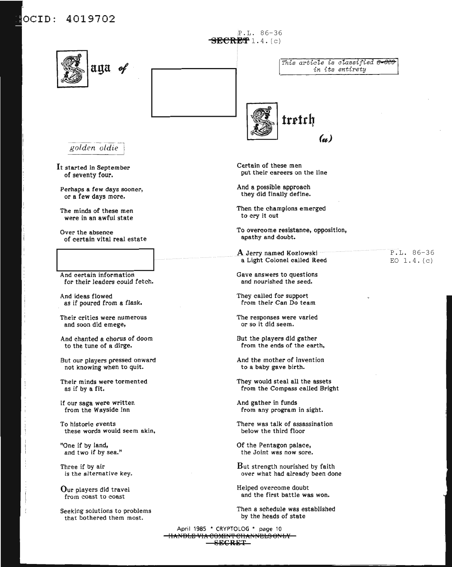#### 4019702 OCID:

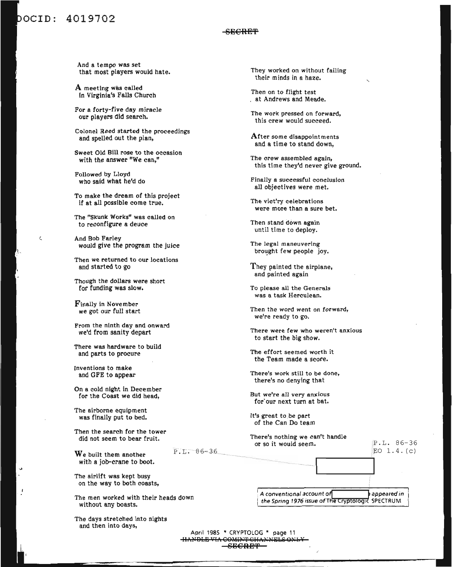### bocID: 4019702

 $\langle$ 

#### SE€RE~

And a tempo was set that most players would hate.

A meeting was called In Virginia's Falls Church

For a forty-five day miracle our players did search.

Colonel Reed started the proceedings and spelled out the plan,

Sweet Old Bill rose to the occasion with the answer "We can,"

Followed by Lloyd who said what he'd do

To make the dream of this project if at all possible come true.

The "Skunk Works" was called on to reconfigure a deuce

And Bob Farley would give the program the juice

Then we returned to our locations and started to go

Though the dollars were short for funding was slow.

Finally in November we got our full start

From the ninth day and onward we'd from sanity depart

There was hardware to build and parts to procure

Inventions to make and GFE to appear

On a cold night in December for the Coast we did head,

The airborne equipment was finally put to bed.

Then the search for the tower did not seem to bear fruit.

We built them another with a job-crane to boot.

The airlift was kept busy on the way to both coasts,

The men worked with their heads down without any boasts.

The days stretched into nights and then into days,

They worked on without failing their minds in a haze.

Then on to flight test . at Andrews and Meade.

The work pressed on forward, this crew would succeed.

After some disappointments and a time to stand down,

The crew assembled again, this time they'd never give ground.

Finally a successful conclusion all objectives were met.

The vict'ry celebrations were more than a sure bet.

Then stand down again until time to deploy.

The legal maneuvering brought few people joy.

They painted the airplane, and painted again

To please all the Generals was a task Herculean.

Then the word went on forward, we're ready to go.

There were few who weren't anxious to start the big show.

The effort seemed worth it the Team made a score.

There's work still to be done, there's no denying that

But we're all very anxious for'our next turn at bat.

It's great to be part of the Can Do team

There's nothing we can't handle or so it would seem.

P.L. 86-36 EO 1. 4. (c)

 $P.L. 86 - 36$ 

A conventional account of **fact of the Spring 1976 issue of The Cryptologic SPECTRUM** 

April 1985 \* CRYPTOLOG \* page 11 <del>IIANDLE VIA COMINT CHA.</del>  $-$ SE $C$ RE $T$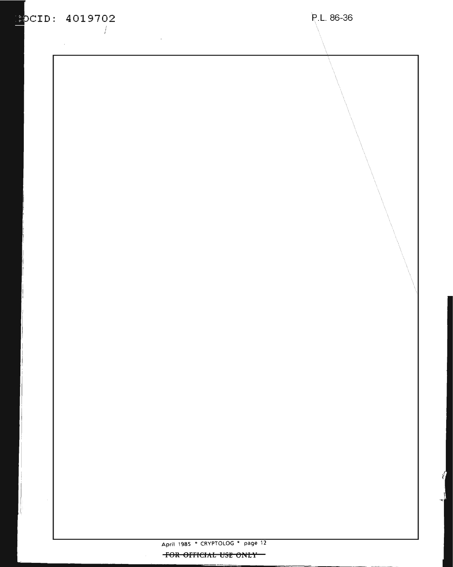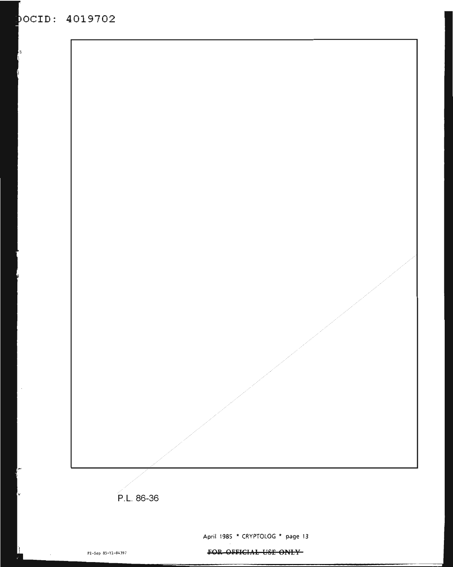### **aCID: 4019702**



FOR OFFICIAL USE ONLY-